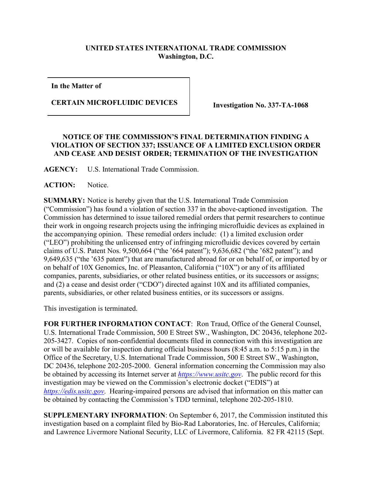## **UNITED STATES INTERNATIONAL TRADE COMMISSION Washington, D.C.**

**In the Matter of**

**CERTAIN MICROFLUIDIC DEVICES Investigation No. 337-TA-1068**

## **NOTICE OF THE COMMISSION'S FINAL DETERMINATION FINDING A VIOLATION OF SECTION 337; ISSUANCE OF A LIMITED EXCLUSION ORDER AND CEASE AND DESIST ORDER; TERMINATION OF THE INVESTIGATION**

**AGENCY:** U.S. International Trade Commission.

**ACTION:** Notice.

**SUMMARY:** Notice is hereby given that the U.S. International Trade Commission ("Commission") has found a violation of section 337 in the above-captioned investigation. The Commission has determined to issue tailored remedial orders that permit researchers to continue their work in ongoing research projects using the infringing microfluidic devices as explained in the accompanying opinion. These remedial orders include: (1) a limited exclusion order ("LEO") prohibiting the unlicensed entry of infringing microfluidic devices covered by certain claims of U.S. Patent Nos. 9,500,664 ("the '664 patent"); 9,636,682 ("the '682 patent"); and 9,649,635 ("the '635 patent") that are manufactured abroad for or on behalf of, or imported by or on behalf of 10X Genomics, Inc. of Pleasanton, California ("10X") or any of its affiliated companies, parents, subsidiaries, or other related business entities, or its successors or assigns; and (2) a cease and desist order ("CDO") directed against 10X and its affiliated companies, parents, subsidiaries, or other related business entities, or its successors or assigns.

This investigation is terminated.

**FOR FURTHER INFORMATION CONTACT**: Ron Traud, Office of the General Counsel, U.S. International Trade Commission, 500 E Street SW., Washington, DC 20436, telephone 202- 205-3427. Copies of non-confidential documents filed in connection with this investigation are or will be available for inspection during official business hours (8:45 a.m. to 5:15 p.m.) in the Office of the Secretary, U.S. International Trade Commission, 500 E Street SW., Washington, DC 20436, telephone 202-205-2000. General information concerning the Commission may also be obtained by accessing its Internet server at *[https://www.usitc.gov](https://www.usitc.gov/)*. The public record for this investigation may be viewed on the Commission's electronic docket ("EDIS") at *[https://edis.usitc.gov](https://edis.usitc.gov/)*. Hearing-impaired persons are advised that information on this matter can be obtained by contacting the Commission's TDD terminal, telephone 202-205-1810.

**SUPPLEMENTARY INFORMATION**: On September 6, 2017, the Commission instituted this investigation based on a complaint filed by Bio-Rad Laboratories, Inc. of Hercules, California; and Lawrence Livermore National Security, LLC of Livermore, California. 82 FR 42115 (Sept.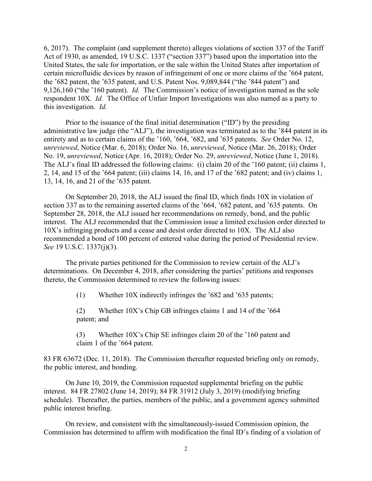6, 2017). The complaint (and supplement thereto) alleges violations of section 337 of the Tariff Act of 1930, as amended, 19 U.S.C. 1337 ("section 337") based upon the importation into the United States, the sale for importation, or the sale within the United States after importation of certain microfluidic devices by reason of infringement of one or more claims of the '664 patent, the '682 patent, the '635 patent, and U.S. Patent Nos. 9,089,844 ("the '844 patent") and 9,126,160 ("the '160 patent). *Id.* The Commission's notice of investigation named as the sole respondent 10X. *Id.* The Office of Unfair Import Investigations was also named as a party to this investigation. *Id.*

Prior to the issuance of the final initial determination ("ID") by the presiding administrative law judge (the "ALJ"), the investigation was terminated as to the '844 patent in its entirety and as to certain claims of the '160, '664, '682, and '635 patents. *See* Order No. 12, *unreviewed*, Notice (Mar. 6, 2018); Order No. 16, *unreviewed*, Notice (Mar. 26, 2018); Order No. 19, *unreviewed*, Notice (Apr. 16, 2018); Order No. 29, *unreviewed*, Notice (June 1, 2018). The ALJ's final ID addressed the following claims: (i) claim 20 of the '160 patent; (ii) claims 1, 2, 14, and 15 of the '664 patent; (iii) claims 14, 16, and 17 of the '682 patent; and (iv) claims 1, 13, 14, 16, and 21 of the '635 patent.

On September 20, 2018, the ALJ issued the final ID, which finds 10X in violation of section 337 as to the remaining asserted claims of the '664, '682 patent, and '635 patents. On September 28, 2018, the ALJ issued her recommendations on remedy, bond, and the public interest. The ALJ recommended that the Commission issue a limited exclusion order directed to 10X's infringing products and a cease and desist order directed to 10X. The ALJ also recommended a bond of 100 percent of entered value during the period of Presidential review. *See* 19 U.S.C. 1337(j)(3).

The private parties petitioned for the Commission to review certain of the ALJ's determinations. On December 4, 2018, after considering the parties' petitions and responses thereto, the Commission determined to review the following issues:

(1) Whether 10X indirectly infringes the '682 and '635 patents;

(2) Whether 10X's Chip GB infringes claims 1 and 14 of the '664 patent; and

(3) Whether 10X's Chip SE infringes claim 20 of the '160 patent and claim 1 of the '664 patent.

83 FR 63672 (Dec. 11, 2018). The Commission thereafter requested briefing only on remedy, the public interest, and bonding.

On June 10, 2019, the Commission requested supplemental briefing on the public interest. 84 FR 27802 (June 14, 2019); 84 FR 31912 (July 3, 2019) (modifying briefing schedule). Thereafter, the parties, members of the public, and a government agency submitted public interest briefing.

On review, and consistent with the simultaneously-issued Commission opinion, the Commission has determined to affirm with modification the final ID's finding of a violation of